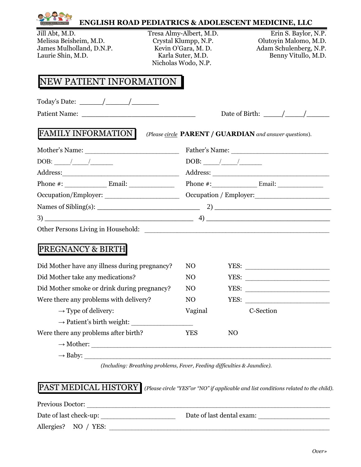| эAП<br>٠H |  |
|-----------|--|

## **ENGLISH ROAD PEDIATRICS & ADOLESCENT MEDICINE, LLC**

Melissa Beisheim, M.D. Crystal Klumpp, N.P. Olutoyin Malomo, M.D. James Mulholland, D.N.P.<br>
Kevin O'Gara, M. D. Adam Schulenberg, N.P. Laurie Shin, M.D. **Karla Suter, M.D.** Benny Vitullo, M.D.

Nicholas Wodo, N.P.

Jill Abt, M.D. Tresa Almy-Albert, M.D. Erin S. Baylor, N.P.

## NEW PATIENT INFORMATION

Today's Date:  $\frac{1}{\sqrt{1-\frac{1}{2}}}\left| \frac{1}{\sqrt{1-\frac{1}{2}}}\right|$ 

Patient Name:  $\Box$  Date of Birth:  $\Box$  /

FAMILY INFORMATION *(Please circle* **PARENT / GUARDIAN** *and answer questions*).

|                                    |                      | Father's Name:  |                        |
|------------------------------------|----------------------|-----------------|------------------------|
|                                    |                      | $DOB:$ / /      |                        |
|                                    |                      |                 |                        |
|                                    | Phone #: Email:      | Phone #: Email: |                        |
|                                    | Occupation/Employer: |                 | Occupation / Employer: |
|                                    |                      |                 |                        |
|                                    |                      |                 |                        |
| Other Persons Living in Household: |                      |                 |                        |

## PREGNANCY & BIRTH

| Did Mother have any illness during pregnancy? | N <sub>O</sub> | YES:      |
|-----------------------------------------------|----------------|-----------|
| Did Mother take any medications?              | N <sub>O</sub> | YES:      |
| Did Mother smoke or drink during pregnancy?   | N <sub>O</sub> | YES:      |
| Were there any problems with delivery?        | N <sub>O</sub> | YES:      |
| $\rightarrow$ Type of delivery:               | Vaginal        | C-Section |
| $\rightarrow$ Patient's birth weight:         |                |           |
| Were there any problems after birth?          | <b>YES</b>     | NO.       |
| $\rightarrow$ Mother:                         |                |           |
| $\rightarrow$ Baby:                           |                |           |

*(Including: Breathing problems, Fever, Feeding difficulties & Jaundice).*

| PAST MEDICAL HISTORY (Please circle "YES" or "NO" if applicable and list conditions related to the child). |
|------------------------------------------------------------------------------------------------------------|
|                                                                                                            |

Previous Doctor:

Allergies? NO / YES:

Date of last check-up: \_\_\_\_\_\_\_\_\_\_\_\_\_\_\_\_\_\_\_\_\_\_\_ Date of last dental exam: \_\_\_\_\_\_\_\_\_\_\_\_\_\_\_\_\_\_\_\_\_\_